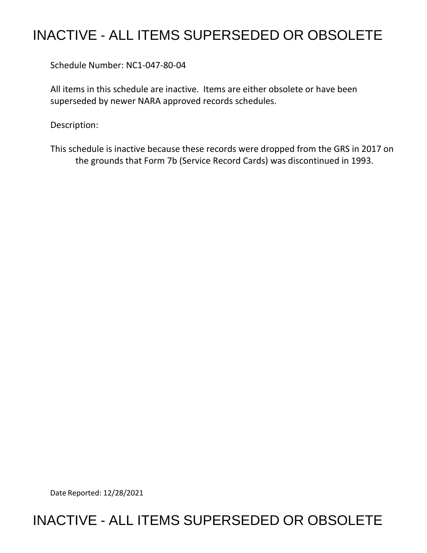## INACTIVE - ALL ITEMS SUPERSEDED OR OBSOLETE

Schedule Number: NC1-047-80-04

All items in this schedule are inactive. Items are either obsolete or have been superseded by newer NARA approved records schedules.

Description:

This schedule is inactive because these records were dropped from the GRS in 2017 on the grounds that Form 7b (Service Record Cards) was discontinued in 1993.

Date Reported: 12/28/2021

### INACTIVE - ALL ITEMS SUPERSEDED OR OBSOLETE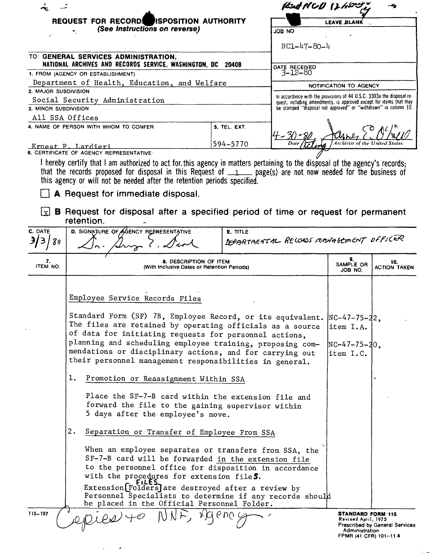|                                                                                                     |                                                                                                                                                                                                                                                                                                                                                                                                                                                                                                                                                                                                                                                                                                                                                                                                                                                                                                                                                                                                                                                                            |                                                                       | fleat NCD 12 hort          |                                                                   |                                |
|-----------------------------------------------------------------------------------------------------|----------------------------------------------------------------------------------------------------------------------------------------------------------------------------------------------------------------------------------------------------------------------------------------------------------------------------------------------------------------------------------------------------------------------------------------------------------------------------------------------------------------------------------------------------------------------------------------------------------------------------------------------------------------------------------------------------------------------------------------------------------------------------------------------------------------------------------------------------------------------------------------------------------------------------------------------------------------------------------------------------------------------------------------------------------------------------|-----------------------------------------------------------------------|----------------------------|-------------------------------------------------------------------|--------------------------------|
| REQUEST FOR RECORD ISPOSITION AUTHORITY                                                             |                                                                                                                                                                                                                                                                                                                                                                                                                                                                                                                                                                                                                                                                                                                                                                                                                                                                                                                                                                                                                                                                            |                                                                       | <b>LEAVE BLANK</b>         |                                                                   |                                |
|                                                                                                     | (See Instructions on reverse)                                                                                                                                                                                                                                                                                                                                                                                                                                                                                                                                                                                                                                                                                                                                                                                                                                                                                                                                                                                                                                              | ON BOL                                                                |                            |                                                                   |                                |
|                                                                                                     |                                                                                                                                                                                                                                                                                                                                                                                                                                                                                                                                                                                                                                                                                                                                                                                                                                                                                                                                                                                                                                                                            |                                                                       |                            |                                                                   |                                |
|                                                                                                     |                                                                                                                                                                                                                                                                                                                                                                                                                                                                                                                                                                                                                                                                                                                                                                                                                                                                                                                                                                                                                                                                            |                                                                       | $NC1 - 47 - 80 - 4$        |                                                                   |                                |
| TO: GENERAL SERVICES ADMINISTRATION,<br>NATIONAL ARCHIVES AND RECORDS SERVICE, WASHINGTON, DC 20408 |                                                                                                                                                                                                                                                                                                                                                                                                                                                                                                                                                                                                                                                                                                                                                                                                                                                                                                                                                                                                                                                                            |                                                                       | DATE RECEIVED              |                                                                   |                                |
| 1. FROM (AGENCY OR ESTABLISHMENT)                                                                   |                                                                                                                                                                                                                                                                                                                                                                                                                                                                                                                                                                                                                                                                                                                                                                                                                                                                                                                                                                                                                                                                            |                                                                       | 3–12–80                    |                                                                   |                                |
| Department of Health, Education, and Welfare                                                        |                                                                                                                                                                                                                                                                                                                                                                                                                                                                                                                                                                                                                                                                                                                                                                                                                                                                                                                                                                                                                                                                            |                                                                       |                            | NOTIFICATION TO AGENCY                                            |                                |
| 2. MAJOR SUBDIVISION                                                                                |                                                                                                                                                                                                                                                                                                                                                                                                                                                                                                                                                                                                                                                                                                                                                                                                                                                                                                                                                                                                                                                                            | In accordance with the provisions of 44 U.S.C. 3303a the disposal re- |                            |                                                                   |                                |
|                                                                                                     | Social Security Administration                                                                                                                                                                                                                                                                                                                                                                                                                                                                                                                                                                                                                                                                                                                                                                                                                                                                                                                                                                                                                                             | quest, including amendments, is approved except for items that may    |                            |                                                                   |                                |
| 3. MINOR SUBDIVISION                                                                                |                                                                                                                                                                                                                                                                                                                                                                                                                                                                                                                                                                                                                                                                                                                                                                                                                                                                                                                                                                                                                                                                            | be stamped "disposal not approved" or "withdrawn" in column 10.       |                            |                                                                   |                                |
|                                                                                                     | All SSA Offices<br>4. NAME OF PERSON WITH WHOM TO CONFER                                                                                                                                                                                                                                                                                                                                                                                                                                                                                                                                                                                                                                                                                                                                                                                                                                                                                                                                                                                                                   |                                                                       |                            |                                                                   |                                |
|                                                                                                     |                                                                                                                                                                                                                                                                                                                                                                                                                                                                                                                                                                                                                                                                                                                                                                                                                                                                                                                                                                                                                                                                            | 5. TEL. EXT.                                                          |                            |                                                                   |                                |
|                                                                                                     | Ernest P. Lardieri                                                                                                                                                                                                                                                                                                                                                                                                                                                                                                                                                                                                                                                                                                                                                                                                                                                                                                                                                                                                                                                         | 594-5770                                                              |                            |                                                                   |                                |
|                                                                                                     | 6. CERTIFICATE OF AGENCY REPRESENTATIVE                                                                                                                                                                                                                                                                                                                                                                                                                                                                                                                                                                                                                                                                                                                                                                                                                                                                                                                                                                                                                                    |                                                                       |                            |                                                                   |                                |
| l x l                                                                                               | I hereby certify that I am authorized to act for this agency in matters pertaining to the disposal of the agency's records;<br>that the records proposed for disposal in this Request of $1$ page(s) are not now needed for the business of<br>this agency or will not be needed after the retention periods specified.<br>A Request for immediate disposal.<br><b>B</b> Request for disposal after a specified period of time or request for permanent                                                                                                                                                                                                                                                                                                                                                                                                                                                                                                                                                                                                                    |                                                                       |                            |                                                                   |                                |
|                                                                                                     | retention.                                                                                                                                                                                                                                                                                                                                                                                                                                                                                                                                                                                                                                                                                                                                                                                                                                                                                                                                                                                                                                                                 |                                                                       |                            |                                                                   |                                |
| C. DATE                                                                                             | D. SIGNATURE OF AGENCY REPRESENTATIVE<br><b>E. TITLE</b><br>DEPARTMENTAL RECORDS MANAGEMENT OFFICER                                                                                                                                                                                                                                                                                                                                                                                                                                                                                                                                                                                                                                                                                                                                                                                                                                                                                                                                                                        |                                                                       |                            |                                                                   |                                |
| 3/3  <br>89                                                                                         |                                                                                                                                                                                                                                                                                                                                                                                                                                                                                                                                                                                                                                                                                                                                                                                                                                                                                                                                                                                                                                                                            |                                                                       |                            |                                                                   |                                |
|                                                                                                     |                                                                                                                                                                                                                                                                                                                                                                                                                                                                                                                                                                                                                                                                                                                                                                                                                                                                                                                                                                                                                                                                            |                                                                       |                            |                                                                   |                                |
| 7.<br>ITEM NO.                                                                                      | 8. DESCRIPTION OF ITEM<br>(With Inclusive Dates or Retention Periods)                                                                                                                                                                                                                                                                                                                                                                                                                                                                                                                                                                                                                                                                                                                                                                                                                                                                                                                                                                                                      | 9.<br>SAMPLE OR<br>JOB NO.                                            | 10.<br><b>ACTION TAKEN</b> |                                                                   |                                |
|                                                                                                     | Employee Service Records Files<br>Standard Form (SF) 7B, Employee Record, or its equivalent. NC-47-75-22,<br>The files are retained by operating officials as a source  item I.A.<br>of data for initiating requests for personnel actions,<br>planning and scheduling employee training, proposing com-<br>mendations or disciplinary actions, and for carrying out<br>their personnel management responsibilities in general.<br>ı.<br>Promotion or Reassignment Within SSA<br>Place the SF-7-B card within the extension file and<br>forward the file to the gaining supervisor within<br>5 days after the employee's move.<br>2.<br>Separation or Transfer of Employee From SSA<br>When an employee separates or transfers from SSA, the<br>SF-7-B card will be forwarded in the extension file<br>to the personnel office for disposition in accordance<br>with the procedures for extension fileS.<br>Extension [Folders] are destroyed after a review by<br>Personnel Specialists to determine if any records should<br>be placed in the Official Personnel Folder. |                                                                       |                            |                                                                   | $NC-47-75-20$ ,                |
| 115-107                                                                                             | epies 40                                                                                                                                                                                                                                                                                                                                                                                                                                                                                                                                                                                                                                                                                                                                                                                                                                                                                                                                                                                                                                                                   | xicle vo c                                                            |                            | <b>STANDARD FORM 115</b><br>Revised April, 1975<br>Administration | Prescribed by General Services |

 $\epsilon$ 

 $\hat{\phantom{a}}$ 

| Prescribed by General Service |  |  |
|-------------------------------|--|--|
| Administration                |  |  |
| FPMR (41 CFR) 101-11.4        |  |  |